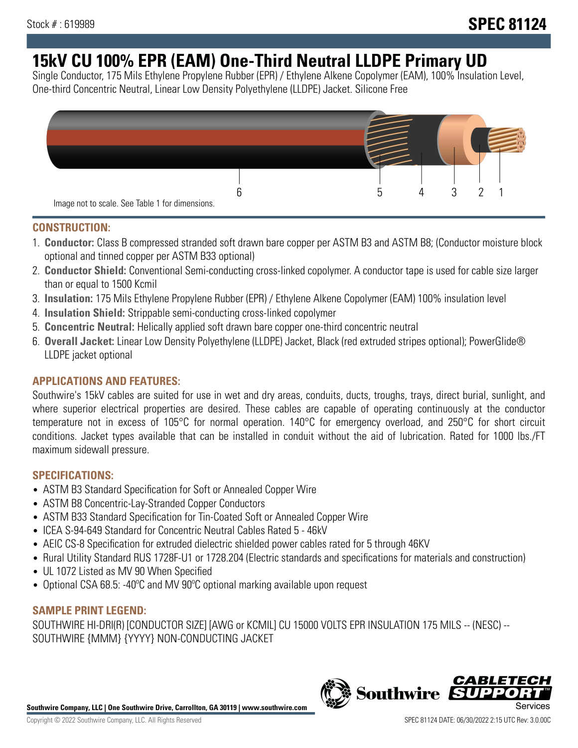# **15kV CU 100% EPR (EAM) One-Third Neutral LLDPE Primary UD**

Single Conductor, 175 Mils Ethylene Propylene Rubber (EPR) / Ethylene Alkene Copolymer (EAM), 100% Insulation Level, One-third Concentric Neutral, Linear Low Density Polyethylene (LLDPE) Jacket. Silicone Free



### **CONSTRUCTION:**

- 1. **Conductor:** Class B compressed stranded soft drawn bare copper per ASTM B3 and ASTM B8; (Conductor moisture block optional and tinned copper per ASTM B33 optional)
- 2. **Conductor Shield:** Conventional Semi-conducting cross-linked copolymer. A conductor tape is used for cable size larger than or equal to 1500 Kcmil
- 3. **Insulation:** 175 Mils Ethylene Propylene Rubber (EPR) / Ethylene Alkene Copolymer (EAM) 100% insulation level
- 4. **Insulation Shield:** Strippable semi-conducting cross-linked copolymer
- 5. **Concentric Neutral:** Helically applied soft drawn bare copper one-third concentric neutral
- 6. **Overall Jacket:** Linear Low Density Polyethylene (LLDPE) Jacket, Black (red extruded stripes optional); PowerGlide® LLDPE jacket optional

# **APPLICATIONS AND FEATURES:**

Southwire's 15kV cables are suited for use in wet and dry areas, conduits, ducts, troughs, trays, direct burial, sunlight, and where superior electrical properties are desired. These cables are capable of operating continuously at the conductor temperature not in excess of 105°C for normal operation. 140°C for emergency overload, and 250°C for short circuit conditions. Jacket types available that can be installed in conduit without the aid of lubrication. Rated for 1000 lbs./FT maximum sidewall pressure.

# **SPECIFICATIONS:**

- ASTM B3 Standard Specification for Soft or Annealed Copper Wire
- ASTM B8 Concentric-Lay-Stranded Copper Conductors
- ASTM B33 Standard Specification for Tin-Coated Soft or Annealed Copper Wire
- ICEA S-94-649 Standard for Concentric Neutral Cables Rated 5 46kV
- AEIC CS-8 Specification for extruded dielectric shielded power cables rated for 5 through 46KV
- Rural Utility Standard RUS 1728F-U1 or 1728.204 (Electric standards and specifications for materials and construction)
- UL 1072 Listed as MV 90 When Specified
- Optional CSA 68.5: -40°C and MV 90°C optional marking available upon request

#### **SAMPLE PRINT LEGEND:**

SOUTHWIRE HI-DRI(R) [CONDUCTOR SIZE] [AWG or KCMIL] CU 15000 VOLTS EPR INSULATION 175 MILS -- (NESC) -- SOUTHWIRE {MMM} {YYYY} NON-CONDUCTING JACKET